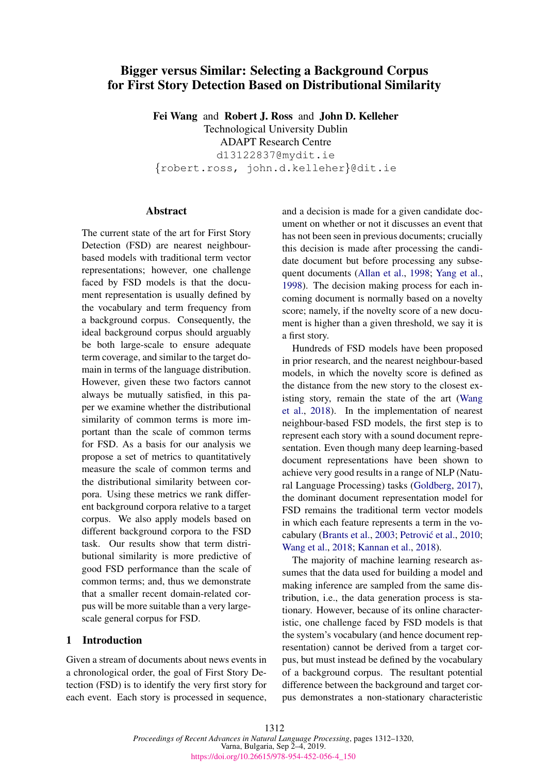# Bigger versus Similar: Selecting a Background Corpus for First Story Detection Based on Distributional Similarity

Fei Wang and Robert J. Ross and John D. Kelleher Technological University Dublin ADAPT Research Centre d13122837@mydit.ie {robert.ross, john.d.kelleher}@dit.ie

## **Abstract**

The current state of the art for First Story Detection (FSD) are nearest neighbourbased models with traditional term vector representations; however, one challenge faced by FSD models is that the document representation is usually defined by the vocabulary and term frequency from a background corpus. Consequently, the ideal background corpus should arguably be both large-scale to ensure adequate term coverage, and similar to the target domain in terms of the language distribution. However, given these two factors cannot always be mutually satisfied, in this paper we examine whether the distributional similarity of common terms is more important than the scale of common terms for FSD. As a basis for our analysis we propose a set of metrics to quantitatively measure the scale of common terms and the distributional similarity between corpora. Using these metrics we rank different background corpora relative to a target corpus. We also apply models based on different background corpora to the FSD task. Our results show that term distributional similarity is more predictive of good FSD performance than the scale of common terms; and, thus we demonstrate that a smaller recent domain-related corpus will be more suitable than a very largescale general corpus for FSD.

## 1 Introduction

Given a stream of documents about news events in a chronological order, the goal of First Story Detection (FSD) is to identify the very first story for each event. Each story is processed in sequence, and a decision is made for a given candidate document on whether or not it discusses an event that has not been seen in previous documents; crucially this decision is made after processing the candidate document but before processing any subsequent documents [\(Allan et al.,](#page-8-0) [1998;](#page-8-0) [Yang et al.,](#page-8-1) [1998\)](#page-8-1). The decision making process for each incoming document is normally based on a novelty score; namely, if the novelty score of a new document is higher than a given threshold, we say it is a first story.

Hundreds of FSD models have been proposed in prior research, and the nearest neighbour-based models, in which the novelty score is defined as the distance from the new story to the closest existing story, remain the state of the art [\(Wang](#page-8-2) [et al.,](#page-8-2) [2018\)](#page-8-2). In the implementation of nearest neighbour-based FSD models, the first step is to represent each story with a sound document representation. Even though many deep learning-based document representations have been shown to achieve very good results in a range of NLP (Natural Language Processing) tasks [\(Goldberg,](#page-8-3) [2017\)](#page-8-3), the dominant document representation model for FSD remains the traditional term vector models in which each feature represents a term in the vo-cabulary [\(Brants et al.,](#page-8-4) [2003;](#page-8-4) Petrović et al., [2010;](#page-8-5) [Wang et al.,](#page-8-2) [2018;](#page-8-2) [Kannan et al.,](#page-8-6) [2018\)](#page-8-6).

The majority of machine learning research assumes that the data used for building a model and making inference are sampled from the same distribution, i.e., the data generation process is stationary. However, because of its online characteristic, one challenge faced by FSD models is that the system's vocabulary (and hence document representation) cannot be derived from a target corpus, but must instead be defined by the vocabulary of a background corpus. The resultant potential difference between the background and target corpus demonstrates a non-stationary characteristic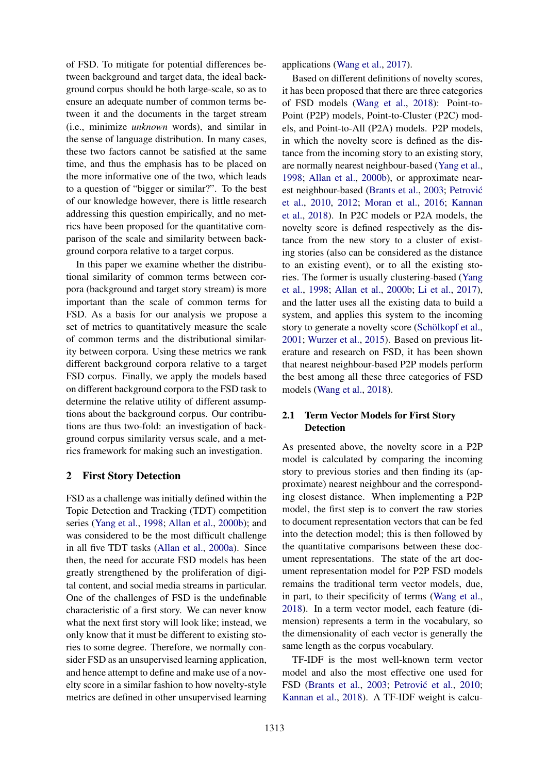of FSD. To mitigate for potential differences between background and target data, the ideal background corpus should be both large-scale, so as to ensure an adequate number of common terms between it and the documents in the target stream (i.e., minimize *unknown* words), and similar in the sense of language distribution. In many cases, these two factors cannot be satisfied at the same time, and thus the emphasis has to be placed on the more informative one of the two, which leads to a question of "bigger or similar?". To the best of our knowledge however, there is little research addressing this question empirically, and no metrics have been proposed for the quantitative comparison of the scale and similarity between background corpora relative to a target corpus.

In this paper we examine whether the distributional similarity of common terms between corpora (background and target story stream) is more important than the scale of common terms for FSD. As a basis for our analysis we propose a set of metrics to quantitatively measure the scale of common terms and the distributional similarity between corpora. Using these metrics we rank different background corpora relative to a target FSD corpus. Finally, we apply the models based on different background corpora to the FSD task to determine the relative utility of different assumptions about the background corpus. Our contributions are thus two-fold: an investigation of background corpus similarity versus scale, and a metrics framework for making such an investigation.

### 2 First Story Detection

FSD as a challenge was initially defined within the Topic Detection and Tracking (TDT) competition series [\(Yang et al.,](#page-8-1) [1998;](#page-8-1) [Allan et al.,](#page-8-7) [2000b\)](#page-8-7); and was considered to be the most difficult challenge in all five TDT tasks [\(Allan et al.,](#page-8-8) [2000a\)](#page-8-8). Since then, the need for accurate FSD models has been greatly strengthened by the proliferation of digital content, and social media streams in particular. One of the challenges of FSD is the undefinable characteristic of a first story. We can never know what the next first story will look like; instead, we only know that it must be different to existing stories to some degree. Therefore, we normally consider FSD as an unsupervised learning application, and hence attempt to define and make use of a novelty score in a similar fashion to how novelty-style metrics are defined in other unsupervised learning

applications [\(Wang et al.,](#page-8-9) [2017\)](#page-8-9).

Based on different definitions of novelty scores, it has been proposed that there are three categories of FSD models [\(Wang et al.,](#page-8-2) [2018\)](#page-8-2): Point-to-Point (P2P) models, Point-to-Cluster (P2C) models, and Point-to-All (P2A) models. P2P models, in which the novelty score is defined as the distance from the incoming story to an existing story, are normally nearest neighbour-based [\(Yang et al.,](#page-8-1) [1998;](#page-8-1) [Allan et al.,](#page-8-7) [2000b\)](#page-8-7), or approximate nearest neighbour-based [\(Brants et al.,](#page-8-4) [2003;](#page-8-4) [Petrovic´](#page-8-5) [et al.,](#page-8-5) [2010,](#page-8-5) [2012;](#page-8-10) [Moran et al.,](#page-8-11) [2016;](#page-8-11) [Kannan](#page-8-6) [et al.,](#page-8-6) [2018\)](#page-8-6). In P2C models or P2A models, the novelty score is defined respectively as the distance from the new story to a cluster of existing stories (also can be considered as the distance to an existing event), or to all the existing stories. The former is usually clustering-based [\(Yang](#page-8-1) [et al.,](#page-8-1) [1998;](#page-8-1) [Allan et al.,](#page-8-7) [2000b;](#page-8-7) [Li et al.,](#page-8-12) [2017\)](#page-8-12), and the latter uses all the existing data to build a system, and applies this system to the incoming story to generate a novelty score (Schölkopf et al., [2001;](#page-8-13) [Wurzer et al.,](#page-8-14) [2015\)](#page-8-14). Based on previous literature and research on FSD, it has been shown that nearest neighbour-based P2P models perform the best among all these three categories of FSD models [\(Wang et al.,](#page-8-2) [2018\)](#page-8-2).

## <span id="page-1-0"></span>2.1 Term Vector Models for First Story Detection

As presented above, the novelty score in a P2P model is calculated by comparing the incoming story to previous stories and then finding its (approximate) nearest neighbour and the corresponding closest distance. When implementing a P2P model, the first step is to convert the raw stories to document representation vectors that can be fed into the detection model; this is then followed by the quantitative comparisons between these document representations. The state of the art document representation model for P2P FSD models remains the traditional term vector models, due, in part, to their specificity of terms [\(Wang et al.,](#page-8-2) [2018\)](#page-8-2). In a term vector model, each feature (dimension) represents a term in the vocabulary, so the dimensionality of each vector is generally the same length as the corpus vocabulary.

TF-IDF is the most well-known term vector model and also the most effective one used for FSD [\(Brants et al.,](#page-8-4) [2003;](#page-8-4) Petrović et al., [2010;](#page-8-5) [Kannan et al.,](#page-8-6) [2018\)](#page-8-6). A TF-IDF weight is calcu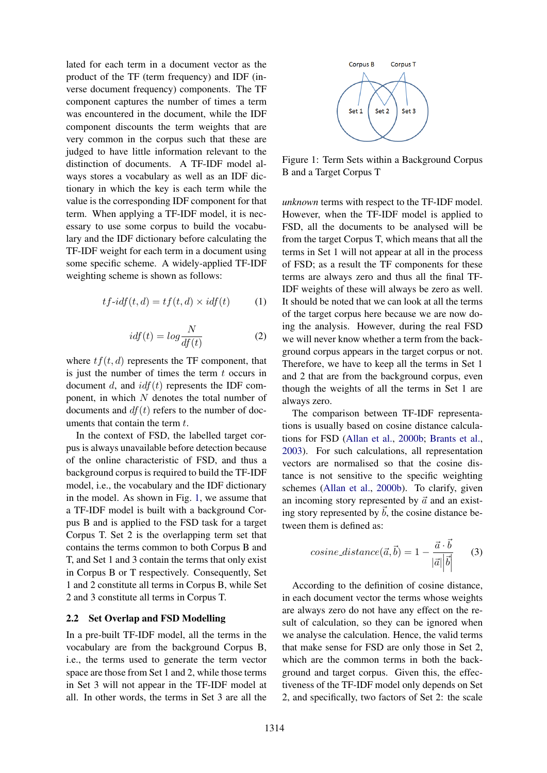lated for each term in a document vector as the product of the TF (term frequency) and IDF (inverse document frequency) components. The TF component captures the number of times a term was encountered in the document, while the IDF component discounts the term weights that are very common in the corpus such that these are judged to have little information relevant to the distinction of documents. A TF-IDF model always stores a vocabulary as well as an IDF dictionary in which the key is each term while the value is the corresponding IDF component for that term. When applying a TF-IDF model, it is necessary to use some corpus to build the vocabulary and the IDF dictionary before calculating the TF-IDF weight for each term in a document using some specific scheme. A widely-applied TF-IDF weighting scheme is shown as follows:

$$
tf-idf(t, d) = tf(t, d) \times idf(t) \tag{1}
$$

$$
idf(t) = log \frac{N}{df(t)}
$$
 (2)

where  $tf(t, d)$  represents the TF component, that is just the number of times the term  $t$  occurs in document d, and  $\text{id}f(t)$  represents the IDF component, in which  $N$  denotes the total number of documents and  $df(t)$  refers to the number of documents that contain the term  $t$ .

In the context of FSD, the labelled target corpus is always unavailable before detection because of the online characteristic of FSD, and thus a background corpus is required to build the TF-IDF model, i.e., the vocabulary and the IDF dictionary in the model. As shown in Fig. [1,](#page-2-0) we assume that a TF-IDF model is built with a background Corpus B and is applied to the FSD task for a target Corpus T. Set 2 is the overlapping term set that contains the terms common to both Corpus B and T, and Set 1 and 3 contain the terms that only exist in Corpus B or T respectively. Consequently, Set 1 and 2 constitute all terms in Corpus B, while Set 2 and 3 constitute all terms in Corpus T.

### 2.2 Set Overlap and FSD Modelling

In a pre-built TF-IDF model, all the terms in the vocabulary are from the background Corpus B, i.e., the terms used to generate the term vector space are those from Set 1 and 2, while those terms in Set 3 will not appear in the TF-IDF model at all. In other words, the terms in Set 3 are all the



<span id="page-2-0"></span>Figure 1: Term Sets within a Background Corpus B and a Target Corpus T

*unknown* terms with respect to the TF-IDF model. However, when the TF-IDF model is applied to FSD, all the documents to be analysed will be from the target Corpus T, which means that all the terms in Set 1 will not appear at all in the process of FSD; as a result the TF components for these terms are always zero and thus all the final TF-IDF weights of these will always be zero as well. It should be noted that we can look at all the terms of the target corpus here because we are now doing the analysis. However, during the real FSD we will never know whether a term from the background corpus appears in the target corpus or not. Therefore, we have to keep all the terms in Set 1 and 2 that are from the background corpus, even though the weights of all the terms in Set 1 are always zero.

The comparison between TF-IDF representations is usually based on cosine distance calculations for FSD [\(Allan et al.,](#page-8-7) [2000b;](#page-8-7) [Brants et al.,](#page-8-4) [2003\)](#page-8-4). For such calculations, all representation vectors are normalised so that the cosine distance is not sensitive to the specific weighting schemes [\(Allan et al.,](#page-8-7) [2000b\)](#page-8-7). To clarify, given an incoming story represented by  $\vec{a}$  and an existing story represented by  $\vec{b}$ , the cosine distance between them is defined as:

cosine\_distance(
$$
\vec{a}, \vec{b}
$$
) = 1 -  $\frac{\vec{a} \cdot \vec{b}}{|\vec{a}||\vec{b}|}$  (3)

According to the definition of cosine distance, in each document vector the terms whose weights are always zero do not have any effect on the result of calculation, so they can be ignored when we analyse the calculation. Hence, the valid terms that make sense for FSD are only those in Set 2, which are the common terms in both the background and target corpus. Given this, the effectiveness of the TF-IDF model only depends on Set 2, and specifically, two factors of Set 2: the scale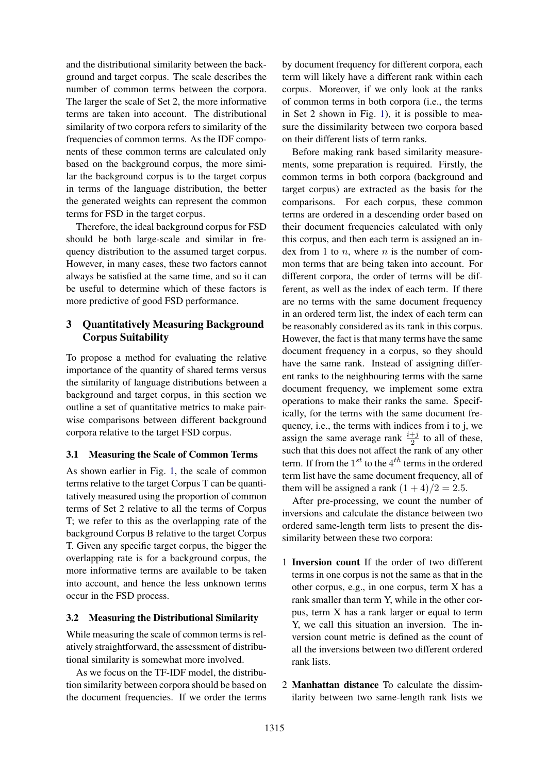and the distributional similarity between the background and target corpus. The scale describes the number of common terms between the corpora. The larger the scale of Set 2, the more informative terms are taken into account. The distributional similarity of two corpora refers to similarity of the frequencies of common terms. As the IDF components of these common terms are calculated only based on the background corpus, the more similar the background corpus is to the target corpus in terms of the language distribution, the better the generated weights can represent the common terms for FSD in the target corpus.

Therefore, the ideal background corpus for FSD should be both large-scale and similar in frequency distribution to the assumed target corpus. However, in many cases, these two factors cannot always be satisfied at the same time, and so it can be useful to determine which of these factors is more predictive of good FSD performance.

# 3 Quantitatively Measuring Background Corpus Suitability

To propose a method for evaluating the relative importance of the quantity of shared terms versus the similarity of language distributions between a background and target corpus, in this section we outline a set of quantitative metrics to make pairwise comparisons between different background corpora relative to the target FSD corpus.

# 3.1 Measuring the Scale of Common Terms

As shown earlier in Fig. [1,](#page-2-0) the scale of common terms relative to the target Corpus T can be quantitatively measured using the proportion of common terms of Set 2 relative to all the terms of Corpus T; we refer to this as the overlapping rate of the background Corpus B relative to the target Corpus T. Given any specific target corpus, the bigger the overlapping rate is for a background corpus, the more informative terms are available to be taken into account, and hence the less unknown terms occur in the FSD process.

# 3.2 Measuring the Distributional Similarity

While measuring the scale of common terms is relatively straightforward, the assessment of distributional similarity is somewhat more involved.

As we focus on the TF-IDF model, the distribution similarity between corpora should be based on the document frequencies. If we order the terms by document frequency for different corpora, each term will likely have a different rank within each corpus. Moreover, if we only look at the ranks of common terms in both corpora (i.e., the terms in Set 2 shown in Fig. [1\)](#page-2-0), it is possible to measure the dissimilarity between two corpora based on their different lists of term ranks.

Before making rank based similarity measurements, some preparation is required. Firstly, the common terms in both corpora (background and target corpus) are extracted as the basis for the comparisons. For each corpus, these common terms are ordered in a descending order based on their document frequencies calculated with only this corpus, and then each term is assigned an index from 1 to *n*, where *n* is the number of common terms that are being taken into account. For different corpora, the order of terms will be different, as well as the index of each term. If there are no terms with the same document frequency in an ordered term list, the index of each term can be reasonably considered as its rank in this corpus. However, the fact is that many terms have the same document frequency in a corpus, so they should have the same rank. Instead of assigning different ranks to the neighbouring terms with the same document frequency, we implement some extra operations to make their ranks the same. Specifically, for the terms with the same document frequency, i.e., the terms with indices from i to j, we assign the same average rank  $\frac{i+j}{2}$  to all of these, such that this does not affect the rank of any other term. If from the  $1^{st}$  to the  $4^{th}$  terms in the ordered term list have the same document frequency, all of them will be assigned a rank  $(1 + 4)/2 = 2.5$ .

After pre-processing, we count the number of inversions and calculate the distance between two ordered same-length term lists to present the dissimilarity between these two corpora:

- 1 Inversion count If the order of two different terms in one corpus is not the same as that in the other corpus, e.g., in one corpus, term X has a rank smaller than term Y, while in the other corpus, term X has a rank larger or equal to term Y, we call this situation an inversion. The inversion count metric is defined as the count of all the inversions between two different ordered rank lists.
- 2 Manhattan distance To calculate the dissimilarity between two same-length rank lists we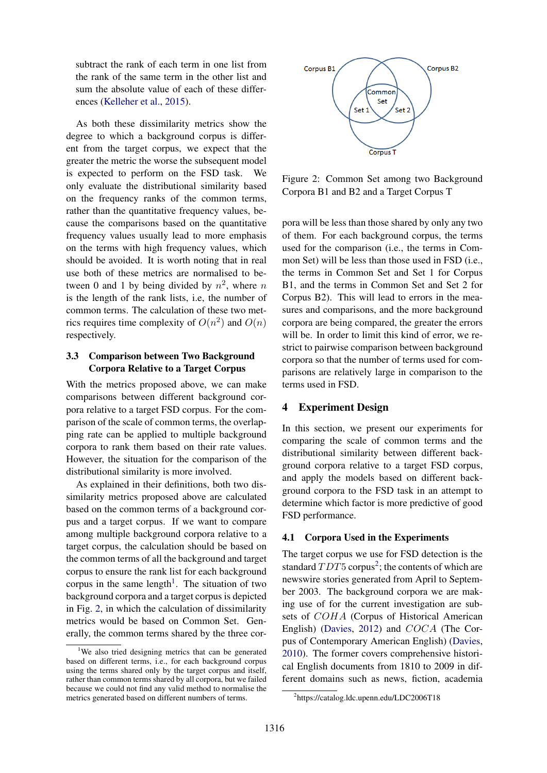subtract the rank of each term in one list from the rank of the same term in the other list and sum the absolute value of each of these differences [\(Kelleher et al.,](#page-8-15) [2015\)](#page-8-15).

As both these dissimilarity metrics show the degree to which a background corpus is different from the target corpus, we expect that the greater the metric the worse the subsequent model is expected to perform on the FSD task. We only evaluate the distributional similarity based on the frequency ranks of the common terms, rather than the quantitative frequency values, because the comparisons based on the quantitative frequency values usually lead to more emphasis on the terms with high frequency values, which should be avoided. It is worth noting that in real use both of these metrics are normalised to between 0 and 1 by being divided by  $n^2$ , where n is the length of the rank lists, i.e, the number of common terms. The calculation of these two metrics requires time complexity of  $O(n^2)$  and  $O(n)$ respectively.

# 3.3 Comparison between Two Background Corpora Relative to a Target Corpus

With the metrics proposed above, we can make comparisons between different background corpora relative to a target FSD corpus. For the comparison of the scale of common terms, the overlapping rate can be applied to multiple background corpora to rank them based on their rate values. However, the situation for the comparison of the distributional similarity is more involved.

As explained in their definitions, both two dissimilarity metrics proposed above are calculated based on the common terms of a background corpus and a target corpus. If we want to compare among multiple background corpora relative to a target corpus, the calculation should be based on the common terms of all the background and target corpus to ensure the rank list for each background corpus in the same length<sup>[1](#page-4-0)</sup>. The situation of two background corpora and a target corpus is depicted in Fig. [2,](#page-4-1) in which the calculation of dissimilarity metrics would be based on Common Set. Generally, the common terms shared by the three cor-



<span id="page-4-1"></span>Figure 2: Common Set among two Background Corpora B1 and B2 and a Target Corpus T

pora will be less than those shared by only any two of them. For each background corpus, the terms used for the comparison (i.e., the terms in Common Set) will be less than those used in FSD (i.e., the terms in Common Set and Set 1 for Corpus B1, and the terms in Common Set and Set 2 for Corpus B2). This will lead to errors in the measures and comparisons, and the more background corpora are being compared, the greater the errors will be. In order to limit this kind of error, we restrict to pairwise comparison between background corpora so that the number of terms used for comparisons are relatively large in comparison to the terms used in FSD.

# 4 Experiment Design

In this section, we present our experiments for comparing the scale of common terms and the distributional similarity between different background corpora relative to a target FSD corpus, and apply the models based on different background corpora to the FSD task in an attempt to determine which factor is more predictive of good FSD performance.

### <span id="page-4-3"></span>4.1 Corpora Used in the Experiments

The target corpus we use for FSD detection is the standard  $TDT5$  corpus<sup>[2](#page-4-2)</sup>; the contents of which are newswire stories generated from April to September 2003. The background corpora we are making use of for the current investigation are subsets of COHA (Corpus of Historical American English) [\(Davies,](#page-8-16) [2012\)](#page-8-16) and COCA (The Corpus of Contemporary American English) [\(Davies,](#page-8-17) [2010\)](#page-8-17). The former covers comprehensive historical English documents from 1810 to 2009 in different domains such as news, fiction, academia

<span id="page-4-0"></span><sup>&</sup>lt;sup>1</sup>We also tried designing metrics that can be generated based on different terms, i.e., for each background corpus using the terms shared only by the target corpus and itself, rather than common terms shared by all corpora, but we failed because we could not find any valid method to normalise the metrics generated based on different numbers of terms.

<span id="page-4-2"></span><sup>2</sup> https://catalog.ldc.upenn.edu/LDC2006T18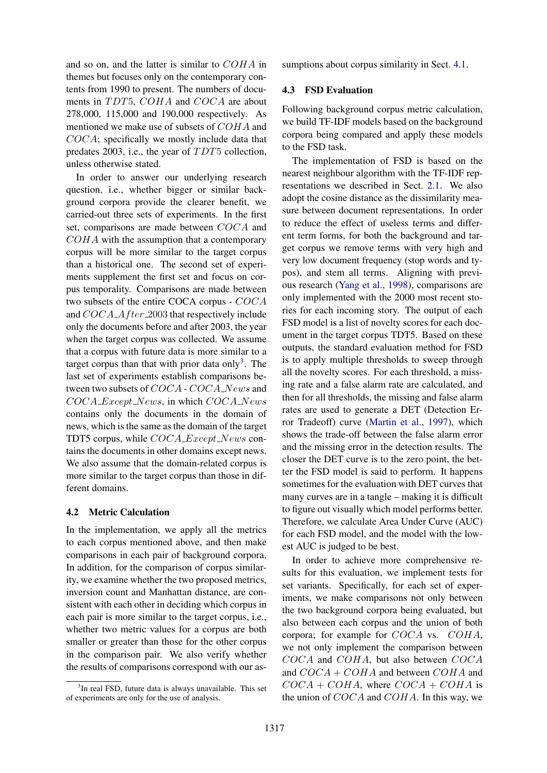and so on, and the latter is similar to COHA in themes but focuses only on the contemporary contents from 1990 to present. The numbers of documents in TDT5, COHA and COCA are about 278,000, 115,000 and 190,000 respectively. As mentioned we make use of subsets of COHA and COCA; specifically we mostly include data that predates 2003, i.e., the year of  $TDT5$  collection, unless otherwise stated.

In order to answer our underlying research question, i.e., whether bigger or similar background corpora provide the clearer benefit, we carried-out three sets of experiments. In the first set, comparisons are made between COCA and  $COHA$  with the assumption that a contemporary corpus will be more similar to the target corpus than a historical one. The second set of experiments supplement the first set and focus on corpus temporality. Comparisons are made between two subsets of the entire COCA corpus - COCA and COCA Af ter 2003 that respectively include only the documents before and after 2003, the year when the target corpus was collected. We assume that a corpus with future data is more similar to a target corpus than that with prior data only<sup>[3](#page-5-0)</sup>. The last set of experiments establish comparisons between two subsets of COCA - COCA\_News and  $COCA\_Except\_News$ , in which  $COCA\_News$ contains only the documents in the domain of news, which is the same as the domain of the target TDT5 corpus, while  $COCA\_Except\_News$  contains the documents in other domains except news. We also assume that the domain-related corpus is more similar to the target corpus than those in different domains.

### 4.2 Metric Calculation

In the implementation, we apply all the metrics to each corpus mentioned above, and then make comparisons in each pair of background corpora. In addition, for the comparison of corpus similarity, we examine whether the two proposed metrics, inversion count and Manhattan distance, are consistent with each other in deciding which corpus in each pair is more similar to the target corpus, i.e., whether two metric values for a corpus are both smaller or greater than those for the other corpus in the comparison pair. We also verify whether the results of comparisons correspond with our assumptions about corpus similarity in Sect. [4.1.](#page-4-3)

## 4.3 FSD Evaluation

Following background corpus metric calculation, we build TF-IDF models based on the background corpora being compared and apply these models to the FSD task.

The implementation of FSD is based on the nearest neighbour algorithm with the TF-IDF representations we described in Sect. [2.1.](#page-1-0) We also adopt the cosine distance as the dissimilarity measure between document representations. In order to reduce the effect of useless terms and different term forms, for both the background and target corpus we remove terms with very high and very low document frequency (stop words and typos), and stem all terms. Aligning with previous research [\(Yang et al.,](#page-8-1) [1998\)](#page-8-1), comparisons are only implemented with the 2000 most recent stories for each incoming story. The output of each FSD model is a list of novelty scores for each document in the target corpus TDT5. Based on these outputs, the standard evaluation method for FSD is to apply multiple thresholds to sweep through all the novelty scores. For each threshold, a missing rate and a false alarm rate are calculated, and then for all thresholds, the missing and false alarm rates are used to generate a DET (Detection Error Tradeoff) curve [\(Martin et al.,](#page-8-18) [1997\)](#page-8-18), which shows the trade-off between the false alarm error and the missing error in the detection results. The closer the DET curve is to the zero point, the better the FSD model is said to perform. It happens sometimes for the evaluation with DET curves that many curves are in a tangle – making it is difficult to figure out visually which model performs better. Therefore, we calculate Area Under Curve (AUC) for each FSD model, and the model with the lowest AUC is judged to be best.

In order to achieve more comprehensive results for this evaluation, we implement tests for set variants. Specifically, for each set of experiments, we make comparisons not only between the two background corpora being evaluated, but also between each corpus and the union of both corpora; for example for COCA vs. COHA, we not only implement the comparison between COCA and COHA, but also between COCA and  $COCA + COHA$  and between  $COHA$  and  $COCA + COHA$ , where  $COCA + COHA$  is the union of  $COCA$  and  $COHA$ . In this way, we

<span id="page-5-0"></span><sup>&</sup>lt;sup>3</sup>In real FSD, future data is always unavailable. This set of experiments are only for the use of analysis.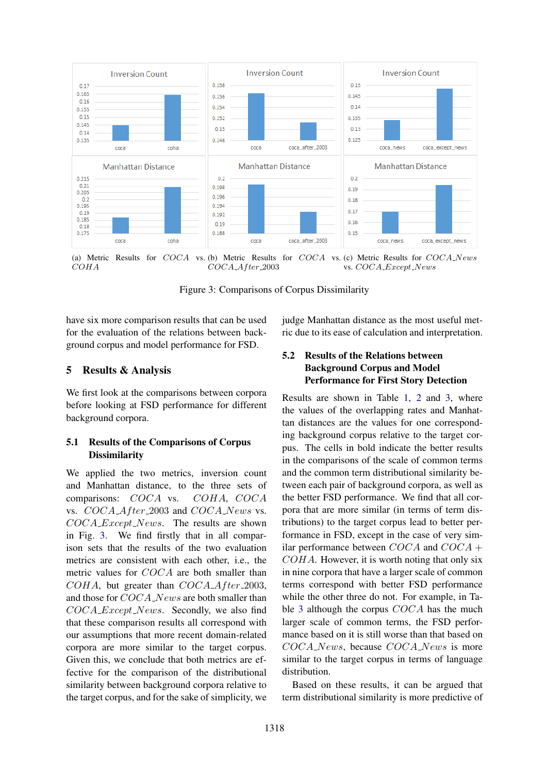

(a) Metric Results for  $COCA$  vs. (b) Metric Results for  $COCA$  vs. (c) Metric Results for  $COCA\_News$ COHA  $COCA\_After\_2003$ vs. COCA\_Except\_News

<span id="page-6-0"></span>Figure 3: Comparisons of Corpus Dissimilarity

have six more comparison results that can be used for the evaluation of the relations between background corpus and model performance for FSD.

# 5 Results & Analysis

We first look at the comparisons between corpora before looking at FSD performance for different background corpora.

# 5.1 Results of the Comparisons of Corpus Dissimilarity

We applied the two metrics, inversion count and Manhattan distance, to the three sets of comparisons: COCA vs. COHA, COCA vs. *COCA\_After\_2003* and *COCA\_News* vs. COCA Except News. The results are shown in Fig. [3.](#page-6-0) We find firstly that in all comparison sets that the results of the two evaluation metrics are consistent with each other, i.e., the metric values for COCA are both smaller than  $COHA$ , but greater than  $COCA\_After\_2003$ , and those for COCA\_News are both smaller than COCA Except News. Secondly, we also find that these comparison results all correspond with our assumptions that more recent domain-related corpora are more similar to the target corpus. Given this, we conclude that both metrics are effective for the comparison of the distributional similarity between background corpora relative to the target corpus, and for the sake of simplicity, we judge Manhattan distance as the most useful metric due to its ease of calculation and interpretation.

# 5.2 Results of the Relations between Background Corpus and Model Performance for First Story Detection

Results are shown in Table [1,](#page-7-0) [2](#page-7-1) and [3,](#page-7-2) where the values of the overlapping rates and Manhattan distances are the values for one corresponding background corpus relative to the target corpus. The cells in bold indicate the better results in the comparisons of the scale of common terms and the common term distributional similarity between each pair of background corpora, as well as the better FSD performance. We find that all corpora that are more similar (in terms of term distributions) to the target corpus lead to better performance in FSD, except in the case of very similar performance between  $COCA$  and  $COCA +$  $COHA$ . However, it is worth noting that only six in nine corpora that have a larger scale of common terms correspond with better FSD performance while the other three do not. For example, in Ta-ble [3](#page-7-2) although the corpus COCA has the much larger scale of common terms, the FSD performance based on it is still worse than that based on COCA News, because COCA News is more similar to the target corpus in terms of language distribution.

Based on these results, it can be argued that term distributional similarity is more predictive of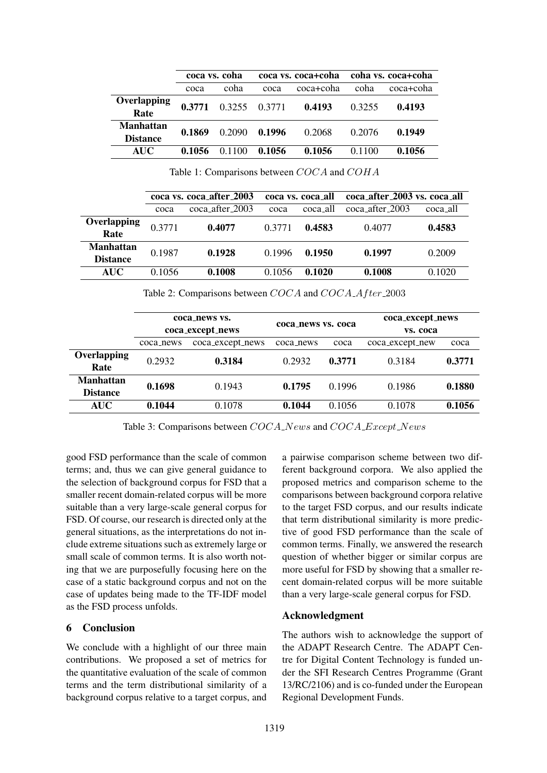|                                     | coca vs. coha |        |        | coca vs. coca+coha | coha vs. coca+coha |           |
|-------------------------------------|---------------|--------|--------|--------------------|--------------------|-----------|
|                                     | coca          | coha   | coca   | coca+coha          | coha               | coca+coha |
| Overlapping<br>Rate                 | 0.3771        | 0.3255 | 0.3771 | 0.4193             | 0.3255             | 0.4193    |
| <b>Manhattan</b><br><b>Distance</b> | 0.1869        | 0.2090 | 0.1996 | 0.2068             | 0.2076             | 0.1949    |
| <b>AUC</b>                          | 0.1056        |        | 0.1056 | 0.1056             | 1100               | 0.1056    |

<span id="page-7-0"></span>Table 1: Comparisons between COCA and COHA

|                            | coca vs. coca_after_2003 |                 | coca vs. coca all |          | coca_after_2003 vs. coca_all     |          |
|----------------------------|--------------------------|-----------------|-------------------|----------|----------------------------------|----------|
|                            | coca                     | coca after 2003 | coca              | coca_all | $\frac{1}{2003}$ coca after 2003 | coca_all |
| <b>Overlapping</b><br>Rate | 0 3771                   | 0.4077          | 0.3771            | 0.4583   | 0.4077                           | 0.4583   |
|                            |                          |                 |                   |          |                                  |          |
| <b>Manhattan</b>           | 0.1987                   | 0.1928          | 0.1996            | 0.1950   | 0.1997                           | 0.2009   |
| <b>Distance</b>            |                          |                 |                   |          |                                  |          |
| <b>AUC</b>                 | 0 1056                   | 0.1008          | 0.1056            | 0.1020   | 0.1008                           | 0.1020   |

<span id="page-7-1"></span>Table 2: Comparisons between COCA and COCA\_After\_2003

|                                     | coca news vs.<br>coca_except_news |                  | coca news vs. coca |        | coca_except_news<br>vs. coca |        |  |
|-------------------------------------|-----------------------------------|------------------|--------------------|--------|------------------------------|--------|--|
|                                     | coca_news                         | coca_except_news | coca_news          | coca   | coca_except_new              | coca   |  |
| <b>Overlapping</b><br>Rate          | 0.2932                            | 0.3184           | 0.2932             | 0.3771 | 0.3184                       | 0.3771 |  |
| <b>Manhattan</b><br><b>Distance</b> | 0.1698                            | 0.1943           | 0.1795             | 0.1996 | 0.1986                       | 0.1880 |  |
| <b>AUC</b>                          | 0.1044                            | 0.1078           | 0.1044             | 0.1056 | 0.1078                       | 0.1056 |  |

<span id="page-7-2"></span>Table 3: Comparisons between COCA\_News and COCA\_Except\_News

good FSD performance than the scale of common terms; and, thus we can give general guidance to the selection of background corpus for FSD that a smaller recent domain-related corpus will be more suitable than a very large-scale general corpus for FSD. Of course, our research is directed only at the general situations, as the interpretations do not include extreme situations such as extremely large or small scale of common terms. It is also worth noting that we are purposefully focusing here on the case of a static background corpus and not on the case of updates being made to the TF-IDF model as the FSD process unfolds.

# 6 Conclusion

We conclude with a highlight of our three main contributions. We proposed a set of metrics for the quantitative evaluation of the scale of common terms and the term distributional similarity of a background corpus relative to a target corpus, and

a pairwise comparison scheme between two different background corpora. We also applied the proposed metrics and comparison scheme to the comparisons between background corpora relative to the target FSD corpus, and our results indicate that term distributional similarity is more predictive of good FSD performance than the scale of common terms. Finally, we answered the research question of whether bigger or similar corpus are more useful for FSD by showing that a smaller recent domain-related corpus will be more suitable than a very large-scale general corpus for FSD.

#### Acknowledgment

The authors wish to acknowledge the support of the ADAPT Research Centre. The ADAPT Centre for Digital Content Technology is funded under the SFI Research Centres Programme (Grant 13/RC/2106) and is co-funded under the European Regional Development Funds.